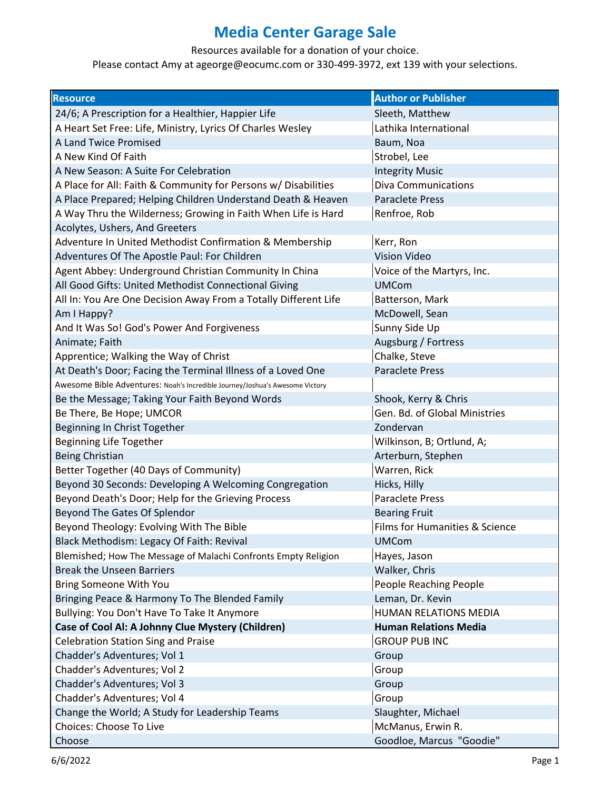Resources available for a donation of your choice.

| <b>Resource</b>                                                              | <b>Author or Publisher</b>     |
|------------------------------------------------------------------------------|--------------------------------|
| 24/6; A Prescription for a Healthier, Happier Life                           | Sleeth, Matthew                |
| A Heart Set Free: Life, Ministry, Lyrics Of Charles Wesley                   | Lathika International          |
| <b>A Land Twice Promised</b>                                                 | Baum, Noa                      |
| A New Kind Of Faith                                                          | Strobel, Lee                   |
| A New Season: A Suite For Celebration                                        | <b>Integrity Music</b>         |
| A Place for All: Faith & Community for Persons w/ Disabilities               | Diva Communications            |
| A Place Prepared; Helping Children Understand Death & Heaven                 | <b>Paraclete Press</b>         |
| A Way Thru the Wilderness; Growing in Faith When Life is Hard                | Renfroe, Rob                   |
| Acolytes, Ushers, And Greeters                                               |                                |
| Adventure In United Methodist Confirmation & Membership                      | Kerr, Ron                      |
| Adventures Of The Apostle Paul: For Children                                 | <b>Vision Video</b>            |
| Agent Abbey: Underground Christian Community In China                        | Voice of the Martyrs, Inc.     |
| All Good Gifts: United Methodist Connectional Giving                         | <b>UMCom</b>                   |
| All In: You Are One Decision Away From a Totally Different Life              | Batterson, Mark                |
| Am I Happy?                                                                  | McDowell, Sean                 |
| And It Was So! God's Power And Forgiveness                                   | Sunny Side Up                  |
| Animate; Faith                                                               | Augsburg / Fortress            |
| Apprentice; Walking the Way of Christ                                        | Chalke, Steve                  |
| At Death's Door; Facing the Terminal Illness of a Loved One                  | <b>Paraclete Press</b>         |
| Awesome Bible Adventures: Noah's Incredible Journey/Joshua's Awesome Victory |                                |
| Be the Message; Taking Your Faith Beyond Words                               | Shook, Kerry & Chris           |
| Be There, Be Hope; UMCOR                                                     | Gen. Bd. of Global Ministries  |
| Beginning In Christ Together                                                 | Zondervan                      |
| <b>Beginning Life Together</b>                                               | Wilkinson, B; Ortlund, A;      |
| <b>Being Christian</b>                                                       | Arterburn, Stephen             |
| Better Together (40 Days of Community)                                       | Warren, Rick                   |
| Beyond 30 Seconds: Developing A Welcoming Congregation                       | Hicks, Hilly                   |
| Beyond Death's Door; Help for the Grieving Process                           | <b>Paraclete Press</b>         |
| Beyond The Gates Of Splendor                                                 | <b>Bearing Fruit</b>           |
| Beyond Theology: Evolving With The Bible                                     | Films for Humanities & Science |
| Black Methodism: Legacy Of Faith: Revival                                    | <b>UMCom</b>                   |
| Blemished; How The Message of Malachi Confronts Empty Religion               | Hayes, Jason                   |
| <b>Break the Unseen Barriers</b>                                             | Walker, Chris                  |
| Bring Someone With You                                                       | People Reaching People         |
| Bringing Peace & Harmony To The Blended Family                               | Leman, Dr. Kevin               |
| Bullying: You Don't Have To Take It Anymore                                  | HUMAN RELATIONS MEDIA          |
| Case of Cool Al: A Johnny Clue Mystery (Children)                            | <b>Human Relations Media</b>   |
| <b>Celebration Station Sing and Praise</b>                                   | <b>GROUP PUB INC</b>           |
| Chadder's Adventures; Vol 1                                                  | Group                          |
| Chadder's Adventures; Vol 2                                                  | Group                          |
| Chadder's Adventures; Vol 3                                                  | Group                          |
| Chadder's Adventures; Vol 4                                                  | Group                          |
| Change the World; A Study for Leadership Teams                               | Slaughter, Michael             |
| Choices: Choose To Live                                                      | McManus, Erwin R.              |
| Choose                                                                       | Goodloe, Marcus "Goodie"       |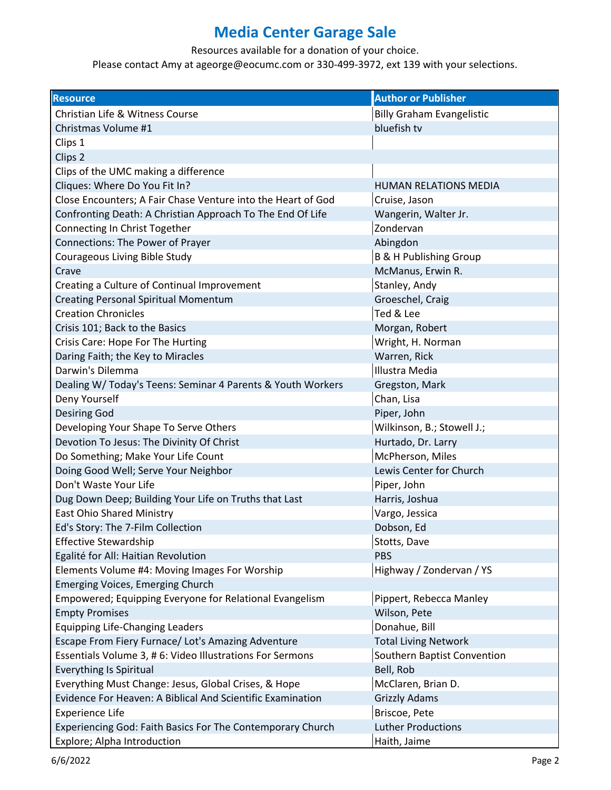Resources available for a donation of your choice.

| <b>Resource</b>                                              | <b>Author or Publisher</b>        |
|--------------------------------------------------------------|-----------------------------------|
| Christian Life & Witness Course                              | <b>Billy Graham Evangelistic</b>  |
| Christmas Volume #1                                          | bluefish tv                       |
| Clips 1                                                      |                                   |
| Clips <sub>2</sub>                                           |                                   |
| Clips of the UMC making a difference                         |                                   |
| Cliques: Where Do You Fit In?                                | <b>HUMAN RELATIONS MEDIA</b>      |
| Close Encounters; A Fair Chase Venture into the Heart of God | Cruise, Jason                     |
| Confronting Death: A Christian Approach To The End Of Life   | Wangerin, Walter Jr.              |
| Connecting In Christ Together                                | Zondervan                         |
| Connections: The Power of Prayer                             | Abingdon                          |
| Courageous Living Bible Study                                | <b>B &amp; H Publishing Group</b> |
| Crave                                                        | McManus, Erwin R.                 |
| Creating a Culture of Continual Improvement                  | Stanley, Andy                     |
| <b>Creating Personal Spiritual Momentum</b>                  | Groeschel, Craig                  |
| <b>Creation Chronicles</b>                                   | Ted & Lee                         |
| Crisis 101; Back to the Basics                               | Morgan, Robert                    |
| Crisis Care: Hope For The Hurting                            | Wright, H. Norman                 |
| Daring Faith; the Key to Miracles                            | Warren, Rick                      |
| Darwin's Dilemma                                             | Illustra Media                    |
| Dealing W/ Today's Teens: Seminar 4 Parents & Youth Workers  | Gregston, Mark                    |
| Deny Yourself                                                | Chan, Lisa                        |
| <b>Desiring God</b>                                          | Piper, John                       |
| Developing Your Shape To Serve Others                        | Wilkinson, B.; Stowell J.;        |
| Devotion To Jesus: The Divinity Of Christ                    | Hurtado, Dr. Larry                |
| Do Something; Make Your Life Count                           | McPherson, Miles                  |
| Doing Good Well; Serve Your Neighbor                         | Lewis Center for Church           |
| Don't Waste Your Life                                        | Piper, John                       |
| Dug Down Deep; Building Your Life on Truths that Last        | Harris, Joshua                    |
| <b>East Ohio Shared Ministry</b>                             | Vargo, Jessica                    |
| Ed's Story: The 7-Film Collection                            | Dobson, Ed                        |
| <b>Effective Stewardship</b>                                 | Stotts, Dave                      |
| Egalité for All: Haitian Revolution                          | <b>PBS</b>                        |
| Elements Volume #4: Moving Images For Worship                | Highway / Zondervan / YS          |
| <b>Emerging Voices, Emerging Church</b>                      |                                   |
| Empowered; Equipping Everyone for Relational Evangelism      | Pippert, Rebecca Manley           |
| <b>Empty Promises</b>                                        | Wilson, Pete                      |
| <b>Equipping Life-Changing Leaders</b>                       | Donahue, Bill                     |
| Escape From Fiery Furnace/ Lot's Amazing Adventure           | <b>Total Living Network</b>       |
| Essentials Volume 3, # 6: Video Illustrations For Sermons    | Southern Baptist Convention       |
| <b>Everything Is Spiritual</b>                               | Bell, Rob                         |
| Everything Must Change: Jesus, Global Crises, & Hope         | McClaren, Brian D.                |
| Evidence For Heaven: A Biblical And Scientific Examination   | <b>Grizzly Adams</b>              |
| <b>Experience Life</b>                                       | Briscoe, Pete                     |
| Experiencing God: Faith Basics For The Contemporary Church   | <b>Luther Productions</b>         |
| Explore; Alpha Introduction                                  | Haith, Jaime                      |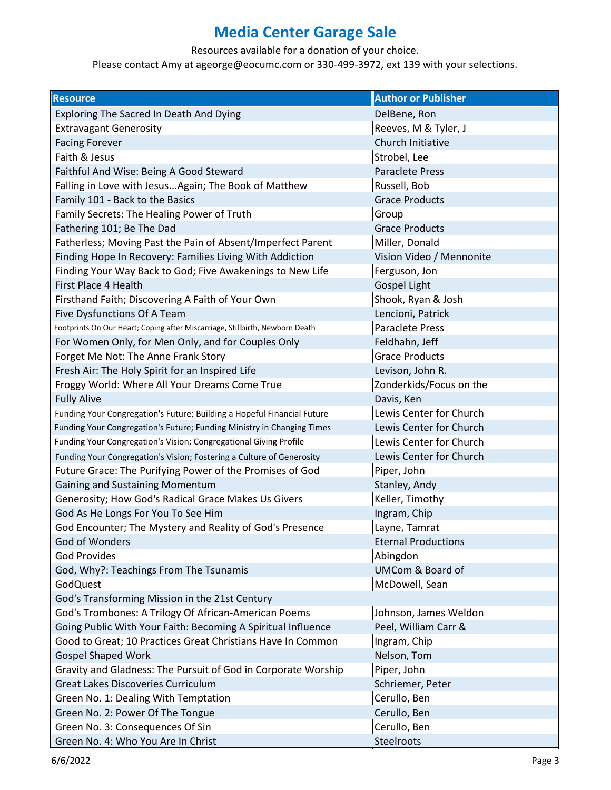Resources available for a donation of your choice.

| <b>Resource</b>                                                              | <b>Author or Publisher</b>  |
|------------------------------------------------------------------------------|-----------------------------|
| Exploring The Sacred In Death And Dying                                      | DelBene, Ron                |
| <b>Extravagant Generosity</b>                                                | Reeves, M & Tyler, J        |
| <b>Facing Forever</b>                                                        | Church Initiative           |
| Faith & Jesus                                                                | Strobel, Lee                |
| Faithful And Wise: Being A Good Steward                                      | <b>Paraclete Press</b>      |
| Falling in Love with Jesus Again; The Book of Matthew                        | Russell, Bob                |
| Family 101 - Back to the Basics                                              | <b>Grace Products</b>       |
| Family Secrets: The Healing Power of Truth                                   | Group                       |
| Fathering 101; Be The Dad                                                    | <b>Grace Products</b>       |
| Fatherless; Moving Past the Pain of Absent/Imperfect Parent                  | Miller, Donald              |
| Finding Hope In Recovery: Families Living With Addiction                     | Vision Video / Mennonite    |
| Finding Your Way Back to God; Five Awakenings to New Life                    | Ferguson, Jon               |
| First Place 4 Health                                                         | <b>Gospel Light</b>         |
| Firsthand Faith; Discovering A Faith of Your Own                             | Shook, Ryan & Josh          |
| Five Dysfunctions Of A Team                                                  | Lencioni, Patrick           |
| Footprints On Our Heart; Coping after Miscarriage, Stillbirth, Newborn Death | <b>Paraclete Press</b>      |
| For Women Only, for Men Only, and for Couples Only                           | Feldhahn, Jeff              |
| Forget Me Not: The Anne Frank Story                                          | <b>Grace Products</b>       |
| Fresh Air: The Holy Spirit for an Inspired Life                              | Levison, John R.            |
| Froggy World: Where All Your Dreams Come True                                | Zonderkids/Focus on the     |
| <b>Fully Alive</b>                                                           | Davis, Ken                  |
| Funding Your Congregation's Future; Building a Hopeful Financial Future      | Lewis Center for Church     |
| Funding Your Congregation's Future; Funding Ministry in Changing Times       | Lewis Center for Church     |
| Funding Your Congregation's Vision; Congregational Giving Profile            | Lewis Center for Church     |
| Funding Your Congregation's Vision; Fostering a Culture of Generosity        | Lewis Center for Church     |
| Future Grace: The Purifying Power of the Promises of God                     | Piper, John                 |
| Gaining and Sustaining Momentum                                              | Stanley, Andy               |
| Generosity; How God's Radical Grace Makes Us Givers                          | Keller, Timothy             |
| God As He Longs For You To See Him                                           | Ingram, Chip                |
| God Encounter; The Mystery and Reality of God's Presence                     | Layne, Tamrat               |
| God of Wonders                                                               | <b>Eternal Productions</b>  |
| <b>God Provides</b>                                                          | Abingdon                    |
| God, Why?: Teachings From The Tsunamis                                       | <b>UMCom &amp; Board of</b> |
| <b>GodQuest</b>                                                              | McDowell, Sean              |
| God's Transforming Mission in the 21st Century                               |                             |
| God's Trombones: A Trilogy Of African-American Poems                         | Johnson, James Weldon       |
| Going Public With Your Faith: Becoming A Spiritual Influence                 | Peel, William Carr &        |
| Good to Great; 10 Practices Great Christians Have In Common                  | Ingram, Chip                |
| <b>Gospel Shaped Work</b>                                                    | Nelson, Tom                 |
| Gravity and Gladness: The Pursuit of God in Corporate Worship                | Piper, John                 |
| <b>Great Lakes Discoveries Curriculum</b>                                    | Schriemer, Peter            |
| Green No. 1: Dealing With Temptation                                         | Cerullo, Ben                |
| Green No. 2: Power Of The Tongue                                             | Cerullo, Ben                |
| Green No. 3: Consequences Of Sin                                             | Cerullo, Ben                |
| Green No. 4: Who You Are In Christ                                           | Steelroots                  |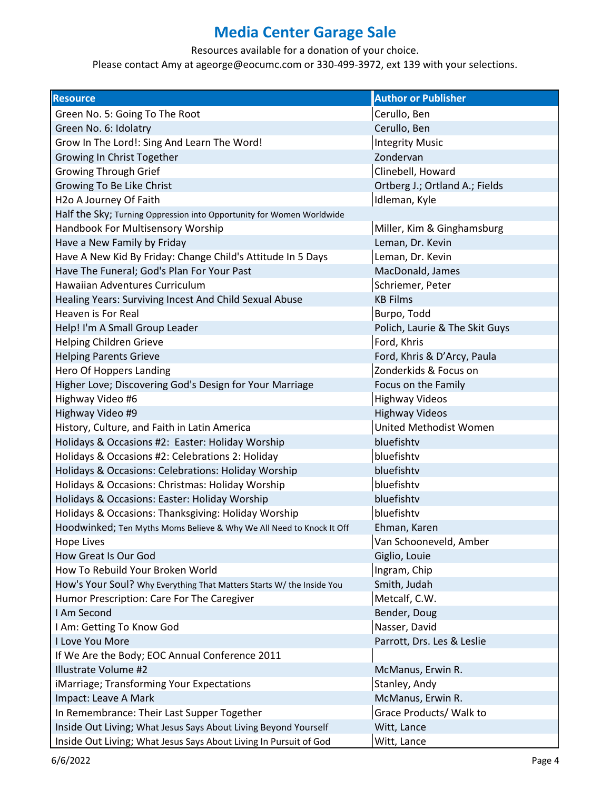Resources available for a donation of your choice.

| <b>Resource</b>                                                       | <b>Author or Publisher</b>     |
|-----------------------------------------------------------------------|--------------------------------|
| Green No. 5: Going To The Root                                        | Cerullo, Ben                   |
| Green No. 6: Idolatry                                                 | Cerullo, Ben                   |
| Grow In The Lord!: Sing And Learn The Word!                           | <b>Integrity Music</b>         |
| Growing In Christ Together                                            | Zondervan                      |
| <b>Growing Through Grief</b>                                          | Clinebell, Howard              |
| Growing To Be Like Christ                                             | Ortberg J.; Ortland A.; Fields |
| H <sub>2</sub> o A Journey Of Faith                                   | Idleman, Kyle                  |
| Half the Sky; Turning Oppression into Opportunity for Women Worldwide |                                |
| Handbook For Multisensory Worship                                     | Miller, Kim & Ginghamsburg     |
| Have a New Family by Friday                                           | Leman, Dr. Kevin               |
| Have A New Kid By Friday: Change Child's Attitude In 5 Days           | Leman, Dr. Kevin               |
| Have The Funeral; God's Plan For Your Past                            | MacDonald, James               |
| <b>Hawaiian Adventures Curriculum</b>                                 | Schriemer, Peter               |
| Healing Years: Surviving Incest And Child Sexual Abuse                | <b>KB Films</b>                |
| Heaven is For Real                                                    | Burpo, Todd                    |
| Help! I'm A Small Group Leader                                        | Polich, Laurie & The Skit Guys |
| <b>Helping Children Grieve</b>                                        | Ford, Khris                    |
| <b>Helping Parents Grieve</b>                                         | Ford, Khris & D'Arcy, Paula    |
| Hero Of Hoppers Landing                                               | Zonderkids & Focus on          |
| Higher Love; Discovering God's Design for Your Marriage               | Focus on the Family            |
| Highway Video #6                                                      | <b>Highway Videos</b>          |
| Highway Video #9                                                      | <b>Highway Videos</b>          |
| History, Culture, and Faith in Latin America                          | United Methodist Women         |
| Holidays & Occasions #2: Easter: Holiday Worship                      | bluefishtv                     |
| Holidays & Occasions #2: Celebrations 2: Holiday                      | bluefishtv                     |
| Holidays & Occasions: Celebrations: Holiday Worship                   | bluefishtv                     |
| Holidays & Occasions: Christmas: Holiday Worship                      | bluefishtv                     |
| Holidays & Occasions: Easter: Holiday Worship                         | bluefishtv                     |
| Holidays & Occasions: Thanksgiving: Holiday Worship                   | bluefishtv                     |
| Hoodwinked; Ten Myths Moms Believe & Why We All Need to Knock It Off  | Ehman, Karen                   |
| <b>Hope Lives</b>                                                     | Van Schooneveld, Amber         |
| How Great Is Our God                                                  | Giglio, Louie                  |
| How To Rebuild Your Broken World                                      | Ingram, Chip                   |
| How's Your Soul? Why Everything That Matters Starts W/ the Inside You | Smith, Judah                   |
| Humor Prescription: Care For The Caregiver                            | Metcalf, C.W.                  |
| I Am Second                                                           | Bender, Doug                   |
| I Am: Getting To Know God                                             | Nasser, David                  |
| I Love You More                                                       | Parrott, Drs. Les & Leslie     |
| If We Are the Body; EOC Annual Conference 2011                        |                                |
| Illustrate Volume #2                                                  | McManus, Erwin R.              |
| iMarriage; Transforming Your Expectations                             | Stanley, Andy                  |
| Impact: Leave A Mark                                                  | McManus, Erwin R.              |
| In Remembrance: Their Last Supper Together                            | Grace Products/ Walk to        |
| Inside Out Living; What Jesus Says About Living Beyond Yourself       | Witt, Lance                    |
| Inside Out Living; What Jesus Says About Living In Pursuit of God     | Witt, Lance                    |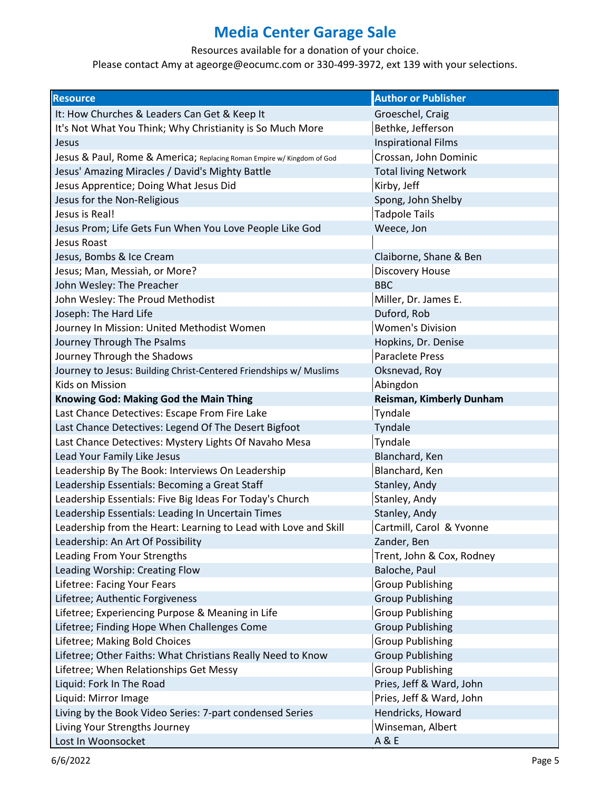Resources available for a donation of your choice.

| <b>Resource</b>                                                        | <b>Author or Publisher</b>  |
|------------------------------------------------------------------------|-----------------------------|
| It: How Churches & Leaders Can Get & Keep It                           | Groeschel, Craig            |
| It's Not What You Think; Why Christianity is So Much More              | Bethke, Jefferson           |
| Jesus                                                                  | <b>Inspirational Films</b>  |
| Jesus & Paul, Rome & America; Replacing Roman Empire w/ Kingdom of God | Crossan, John Dominic       |
| Jesus' Amazing Miracles / David's Mighty Battle                        | <b>Total living Network</b> |
| Jesus Apprentice; Doing What Jesus Did                                 | Kirby, Jeff                 |
| Jesus for the Non-Religious                                            | Spong, John Shelby          |
| Jesus is Real!                                                         | <b>Tadpole Tails</b>        |
| Jesus Prom; Life Gets Fun When You Love People Like God                | Weece, Jon                  |
| Jesus Roast                                                            |                             |
| Jesus, Bombs & Ice Cream                                               | Claiborne, Shane & Ben      |
| Jesus; Man, Messiah, or More?                                          | Discovery House             |
| John Wesley: The Preacher                                              | <b>BBC</b>                  |
| John Wesley: The Proud Methodist                                       | Miller, Dr. James E.        |
| Joseph: The Hard Life                                                  | Duford, Rob                 |
| Journey In Mission: United Methodist Women                             | <b>Women's Division</b>     |
| Journey Through The Psalms                                             | Hopkins, Dr. Denise         |
| Journey Through the Shadows                                            | <b>Paraclete Press</b>      |
| Journey to Jesus: Building Christ-Centered Friendships w/ Muslims      | Oksnevad, Roy               |
| Kids on Mission                                                        | Abingdon                    |
| Knowing God: Making God the Main Thing                                 | Reisman, Kimberly Dunham    |
| Last Chance Detectives: Escape From Fire Lake                          | Tyndale                     |
| Last Chance Detectives: Legend Of The Desert Bigfoot                   | Tyndale                     |
| Last Chance Detectives: Mystery Lights Of Navaho Mesa                  | Tyndale                     |
| Lead Your Family Like Jesus                                            | Blanchard, Ken              |
| Leadership By The Book: Interviews On Leadership                       | Blanchard, Ken              |
| Leadership Essentials: Becoming a Great Staff                          | Stanley, Andy               |
| Leadership Essentials: Five Big Ideas For Today's Church               | Stanley, Andy               |
| Leadership Essentials: Leading In Uncertain Times                      | Stanley, Andy               |
| Leadership from the Heart: Learning to Lead with Love and Skill        | Cartmill, Carol & Yvonne    |
| Leadership: An Art Of Possibility                                      | Zander, Ben                 |
| Leading From Your Strengths                                            | Trent, John & Cox, Rodney   |
| Leading Worship: Creating Flow                                         | Baloche, Paul               |
| Lifetree: Facing Your Fears                                            | <b>Group Publishing</b>     |
| Lifetree; Authentic Forgiveness                                        | <b>Group Publishing</b>     |
| Lifetree; Experiencing Purpose & Meaning in Life                       | <b>Group Publishing</b>     |
| Lifetree; Finding Hope When Challenges Come                            | <b>Group Publishing</b>     |
| Lifetree; Making Bold Choices                                          | <b>Group Publishing</b>     |
| Lifetree; Other Faiths: What Christians Really Need to Know            | <b>Group Publishing</b>     |
| Lifetree; When Relationships Get Messy                                 | <b>Group Publishing</b>     |
| Liquid: Fork In The Road                                               | Pries, Jeff & Ward, John    |
| Liquid: Mirror Image                                                   | Pries, Jeff & Ward, John    |
| Living by the Book Video Series: 7-part condensed Series               | Hendricks, Howard           |
| Living Your Strengths Journey                                          | Winseman, Albert            |
| Lost In Woonsocket                                                     | A & E                       |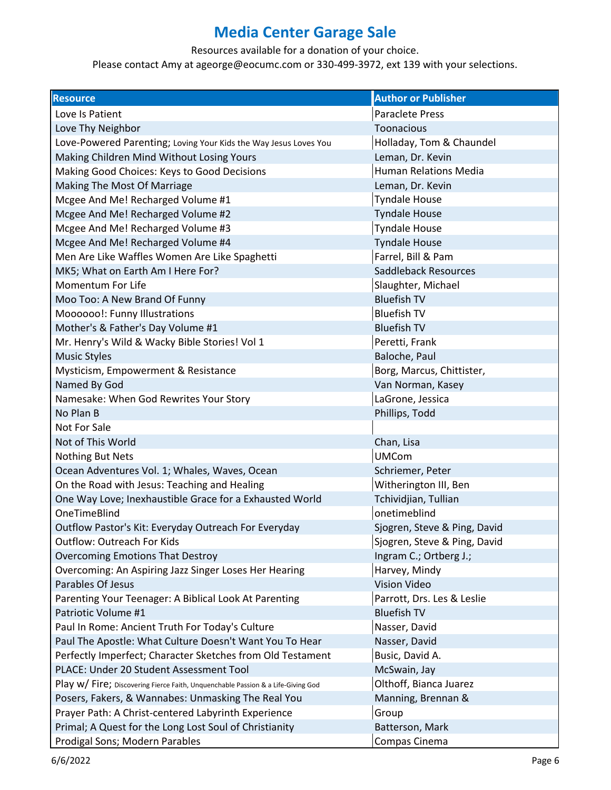Resources available for a donation of your choice.

| <b>Resource</b>                                                                  | <b>Author or Publisher</b>   |
|----------------------------------------------------------------------------------|------------------------------|
| Love Is Patient                                                                  | <b>Paraclete Press</b>       |
| Love Thy Neighbor                                                                | Toonacious                   |
| Love-Powered Parenting; Loving Your Kids the Way Jesus Loves You                 | Holladay, Tom & Chaundel     |
| Making Children Mind Without Losing Yours                                        | Leman, Dr. Kevin             |
| Making Good Choices: Keys to Good Decisions                                      | Human Relations Media        |
| Making The Most Of Marriage                                                      | Leman, Dr. Kevin             |
| Mcgee And Me! Recharged Volume #1                                                | <b>Tyndale House</b>         |
| Mcgee And Me! Recharged Volume #2                                                | <b>Tyndale House</b>         |
| Mcgee And Me! Recharged Volume #3                                                | <b>Tyndale House</b>         |
| Mcgee And Me! Recharged Volume #4                                                | <b>Tyndale House</b>         |
| Men Are Like Waffles Women Are Like Spaghetti                                    | Farrel, Bill & Pam           |
| MK5; What on Earth Am I Here For?                                                | <b>Saddleback Resources</b>  |
| Momentum For Life                                                                | Slaughter, Michael           |
| Moo Too: A New Brand Of Funny                                                    | <b>Bluefish TV</b>           |
| Moooooo!: Funny Illustrations                                                    | <b>Bluefish TV</b>           |
| Mother's & Father's Day Volume #1                                                | <b>Bluefish TV</b>           |
| Mr. Henry's Wild & Wacky Bible Stories! Vol 1                                    | Peretti, Frank               |
| <b>Music Styles</b>                                                              | Baloche, Paul                |
| Mysticism, Empowerment & Resistance                                              | Borg, Marcus, Chittister,    |
| Named By God                                                                     | Van Norman, Kasey            |
| Namesake: When God Rewrites Your Story                                           | LaGrone, Jessica             |
| No Plan B                                                                        | Phillips, Todd               |
| Not For Sale                                                                     |                              |
| Not of This World                                                                | Chan, Lisa                   |
| Nothing But Nets                                                                 | <b>UMCom</b>                 |
| Ocean Adventures Vol. 1; Whales, Waves, Ocean                                    | Schriemer, Peter             |
| On the Road with Jesus: Teaching and Healing                                     | Witherington III, Ben        |
| One Way Love; Inexhaustible Grace for a Exhausted World                          | Tchividjian, Tullian         |
| <b>OneTimeBlind</b>                                                              | onetimeblind                 |
| Outflow Pastor's Kit: Everyday Outreach For Everyday                             | Sjogren, Steve & Ping, David |
| <b>Outflow: Outreach For Kids</b>                                                | Sjogren, Steve & Ping, David |
| <b>Overcoming Emotions That Destroy</b>                                          | Ingram C.; Ortberg J.;       |
| Overcoming: An Aspiring Jazz Singer Loses Her Hearing                            | Harvey, Mindy                |
| Parables Of Jesus                                                                | <b>Vision Video</b>          |
| Parenting Your Teenager: A Biblical Look At Parenting                            | Parrott, Drs. Les & Leslie   |
| Patriotic Volume #1                                                              | <b>Bluefish TV</b>           |
| Paul In Rome: Ancient Truth For Today's Culture                                  | Nasser, David                |
| Paul The Apostle: What Culture Doesn't Want You To Hear                          | Nasser, David                |
| Perfectly Imperfect; Character Sketches from Old Testament                       | Busic, David A.              |
| PLACE: Under 20 Student Assessment Tool                                          | McSwain, Jay                 |
| Play w/ Fire; Discovering Fierce Faith, Unquenchable Passion & a Life-Giving God | Olthoff, Bianca Juarez       |
| Posers, Fakers, & Wannabes: Unmasking The Real You                               | Manning, Brennan &           |
| Prayer Path: A Christ-centered Labyrinth Experience                              | Group                        |
| Primal; A Quest for the Long Lost Soul of Christianity                           | Batterson, Mark              |
| Prodigal Sons; Modern Parables                                                   | Compas Cinema                |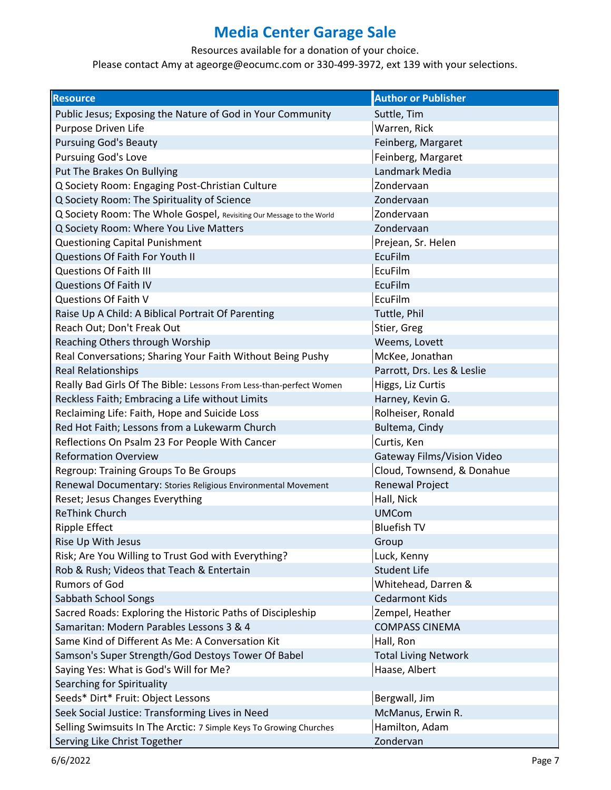Resources available for a donation of your choice.

| <b>Resource</b>                                                       | <b>Author or Publisher</b>  |
|-----------------------------------------------------------------------|-----------------------------|
| Public Jesus; Exposing the Nature of God in Your Community            | Suttle, Tim                 |
| Purpose Driven Life                                                   | Warren, Rick                |
| <b>Pursuing God's Beauty</b>                                          | Feinberg, Margaret          |
| <b>Pursuing God's Love</b>                                            | Feinberg, Margaret          |
| Put The Brakes On Bullying                                            | Landmark Media              |
| Q Society Room: Engaging Post-Christian Culture                       | Zondervaan                  |
| Q Society Room: The Spirituality of Science                           | Zondervaan                  |
| Q Society Room: The Whole Gospel, Revisiting Our Message to the World | Zondervaan                  |
| Q Society Room: Where You Live Matters                                | Zondervaan                  |
| <b>Questioning Capital Punishment</b>                                 | Prejean, Sr. Helen          |
| Questions Of Faith For Youth II                                       | <b>EcuFilm</b>              |
| <b>Questions Of Faith III</b>                                         | EcuFilm                     |
| <b>Questions Of Faith IV</b>                                          | <b>EcuFilm</b>              |
| Questions Of Faith V                                                  | EcuFilm                     |
| Raise Up A Child: A Biblical Portrait Of Parenting                    | Tuttle, Phil                |
| Reach Out; Don't Freak Out                                            | Stier, Greg                 |
| Reaching Others through Worship                                       | Weems, Lovett               |
| Real Conversations; Sharing Your Faith Without Being Pushy            | McKee, Jonathan             |
| <b>Real Relationships</b>                                             | Parrott, Drs. Les & Leslie  |
| Really Bad Girls Of The Bible: Lessons From Less-than-perfect Women   | Higgs, Liz Curtis           |
| Reckless Faith; Embracing a Life without Limits                       | Harney, Kevin G.            |
| Reclaiming Life: Faith, Hope and Suicide Loss                         | Rolheiser, Ronald           |
| Red Hot Faith; Lessons from a Lukewarm Church                         | Bultema, Cindy              |
| Reflections On Psalm 23 For People With Cancer                        | Curtis, Ken                 |
| <b>Reformation Overview</b>                                           | Gateway Films/Vision Video  |
| Regroup: Training Groups To Be Groups                                 | Cloud, Townsend, & Donahue  |
| Renewal Documentary: Stories Religious Environmental Movement         | <b>Renewal Project</b>      |
| Reset; Jesus Changes Everything                                       | Hall, Nick                  |
| <b>ReThink Church</b>                                                 | <b>UMCom</b>                |
| <b>Ripple Effect</b>                                                  | <b>Bluefish TV</b>          |
| Rise Up With Jesus                                                    | Group                       |
| Risk; Are You Willing to Trust God with Everything?                   | Luck, Kenny                 |
| Rob & Rush; Videos that Teach & Entertain                             | <b>Student Life</b>         |
| <b>Rumors of God</b>                                                  | Whitehead, Darren &         |
| Sabbath School Songs                                                  | <b>Cedarmont Kids</b>       |
| Sacred Roads: Exploring the Historic Paths of Discipleship            | Zempel, Heather             |
| Samaritan: Modern Parables Lessons 3 & 4                              | <b>COMPASS CINEMA</b>       |
| Same Kind of Different As Me: A Conversation Kit                      | Hall, Ron                   |
| Samson's Super Strength/God Destoys Tower Of Babel                    | <b>Total Living Network</b> |
| Saying Yes: What is God's Will for Me?                                | Haase, Albert               |
| Searching for Spirituality                                            |                             |
| Seeds* Dirt* Fruit: Object Lessons                                    | Bergwall, Jim               |
| Seek Social Justice: Transforming Lives in Need                       | McManus, Erwin R.           |
| Selling Swimsuits In The Arctic: 7 Simple Keys To Growing Churches    | Hamilton, Adam              |
| Serving Like Christ Together                                          | Zondervan                   |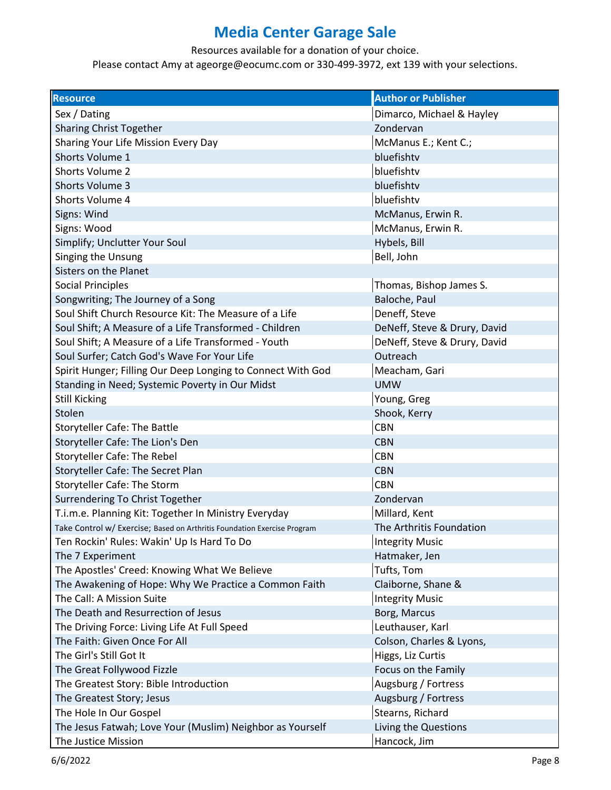Resources available for a donation of your choice.

| <b>Resource</b>                                                          | <b>Author or Publisher</b>   |
|--------------------------------------------------------------------------|------------------------------|
| Sex / Dating                                                             | Dimarco, Michael & Hayley    |
| <b>Sharing Christ Together</b>                                           | Zondervan                    |
| Sharing Your Life Mission Every Day                                      | McManus E.; Kent C.;         |
| Shorts Volume 1                                                          | bluefishtv                   |
| <b>Shorts Volume 2</b>                                                   | bluefishtv                   |
| <b>Shorts Volume 3</b>                                                   | bluefishtv                   |
| Shorts Volume 4                                                          | bluefishtv                   |
| Signs: Wind                                                              | McManus, Erwin R.            |
| Signs: Wood                                                              | McManus, Erwin R.            |
| Simplify; Unclutter Your Soul                                            | Hybels, Bill                 |
| Singing the Unsung                                                       | Bell, John                   |
| Sisters on the Planet                                                    |                              |
| <b>Social Principles</b>                                                 | Thomas, Bishop James S.      |
| Songwriting; The Journey of a Song                                       | Baloche, Paul                |
| Soul Shift Church Resource Kit: The Measure of a Life                    | Deneff, Steve                |
| Soul Shift; A Measure of a Life Transformed - Children                   | DeNeff, Steve & Drury, David |
| Soul Shift; A Measure of a Life Transformed - Youth                      | DeNeff, Steve & Drury, David |
| Soul Surfer; Catch God's Wave For Your Life                              | Outreach                     |
| Spirit Hunger; Filling Our Deep Longing to Connect With God              | Meacham, Gari                |
| Standing in Need; Systemic Poverty in Our Midst                          | <b>UMW</b>                   |
| <b>Still Kicking</b>                                                     | Young, Greg                  |
| Stolen                                                                   | Shook, Kerry                 |
| <b>Storyteller Cafe: The Battle</b>                                      | <b>CBN</b>                   |
| Storyteller Cafe: The Lion's Den                                         | <b>CBN</b>                   |
| <b>Storyteller Cafe: The Rebel</b>                                       | <b>CBN</b>                   |
| Storyteller Cafe: The Secret Plan                                        | <b>CBN</b>                   |
| <b>Storyteller Cafe: The Storm</b>                                       | <b>CBN</b>                   |
| Surrendering To Christ Together                                          | Zondervan                    |
| T.i.m.e. Planning Kit: Together In Ministry Everyday                     | Millard, Kent                |
| Take Control w/ Exercise; Based on Arthritis Foundation Exercise Program | The Arthritis Foundation     |
| Ten Rockin' Rules: Wakin' Up Is Hard To Do                               | <b>Integrity Music</b>       |
| The 7 Experiment                                                         | Hatmaker, Jen                |
| The Apostles' Creed: Knowing What We Believe                             | Tufts, Tom                   |
| The Awakening of Hope: Why We Practice a Common Faith                    | Claiborne, Shane &           |
| The Call: A Mission Suite                                                | <b>Integrity Music</b>       |
| The Death and Resurrection of Jesus                                      | Borg, Marcus                 |
| The Driving Force: Living Life At Full Speed                             | Leuthauser, Karl             |
| The Faith: Given Once For All                                            | Colson, Charles & Lyons,     |
| The Girl's Still Got It                                                  | Higgs, Liz Curtis            |
| The Great Follywood Fizzle                                               | Focus on the Family          |
| The Greatest Story: Bible Introduction                                   | Augsburg / Fortress          |
| The Greatest Story; Jesus                                                | Augsburg / Fortress          |
| The Hole In Our Gospel                                                   | Stearns, Richard             |
| The Jesus Fatwah; Love Your (Muslim) Neighbor as Yourself                | Living the Questions         |
| The Justice Mission                                                      | Hancock, Jim                 |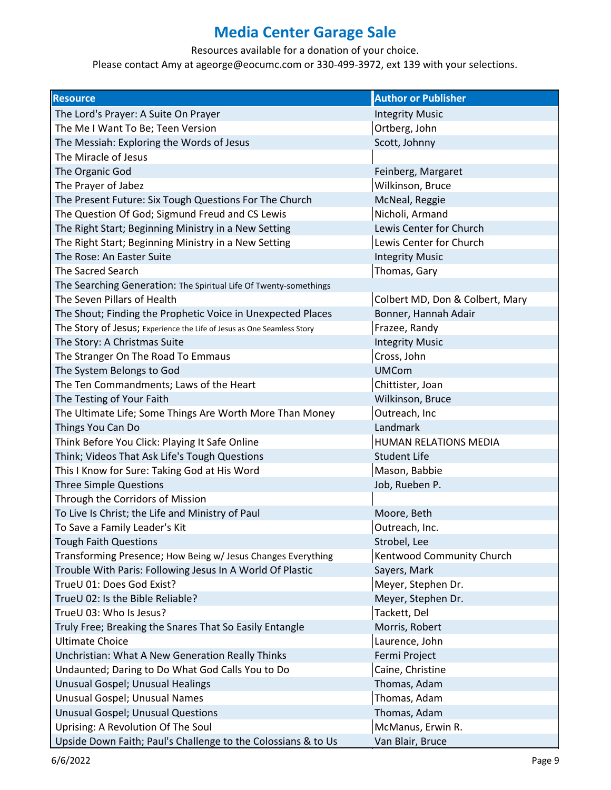Resources available for a donation of your choice.

| <b>Resource</b>                                                        | <b>Author or Publisher</b>      |
|------------------------------------------------------------------------|---------------------------------|
| The Lord's Prayer: A Suite On Prayer                                   | <b>Integrity Music</b>          |
| The Me I Want To Be; Teen Version                                      | Ortberg, John                   |
| The Messiah: Exploring the Words of Jesus                              | Scott, Johnny                   |
| The Miracle of Jesus                                                   |                                 |
| The Organic God                                                        | Feinberg, Margaret              |
| The Prayer of Jabez                                                    | Wilkinson, Bruce                |
| The Present Future: Six Tough Questions For The Church                 | McNeal, Reggie                  |
| The Question Of God; Sigmund Freud and CS Lewis                        | Nicholi, Armand                 |
| The Right Start; Beginning Ministry in a New Setting                   | Lewis Center for Church         |
| The Right Start; Beginning Ministry in a New Setting                   | Lewis Center for Church         |
| The Rose: An Easter Suite                                              | <b>Integrity Music</b>          |
| <b>The Sacred Search</b>                                               | Thomas, Gary                    |
| The Searching Generation: The Spiritual Life Of Twenty-somethings      |                                 |
| The Seven Pillars of Health                                            | Colbert MD, Don & Colbert, Mary |
| The Shout; Finding the Prophetic Voice in Unexpected Places            | Bonner, Hannah Adair            |
| The Story of Jesus; Experience the Life of Jesus as One Seamless Story | Frazee, Randy                   |
| The Story: A Christmas Suite                                           | <b>Integrity Music</b>          |
| The Stranger On The Road To Emmaus                                     | Cross, John                     |
| The System Belongs to God                                              | <b>UMCom</b>                    |
| The Ten Commandments; Laws of the Heart                                | Chittister, Joan                |
| The Testing of Your Faith                                              | Wilkinson, Bruce                |
| The Ultimate Life; Some Things Are Worth More Than Money               | Outreach, Inc                   |
| Things You Can Do                                                      | Landmark                        |
| Think Before You Click: Playing It Safe Online                         | HUMAN RELATIONS MEDIA           |
| Think; Videos That Ask Life's Tough Questions                          | <b>Student Life</b>             |
| This I Know for Sure: Taking God at His Word                           | Mason, Babbie                   |
| <b>Three Simple Questions</b>                                          | Job, Rueben P.                  |
| Through the Corridors of Mission                                       |                                 |
| To Live Is Christ; the Life and Ministry of Paul                       | Moore, Beth                     |
| To Save a Family Leader's Kit                                          | Outreach, Inc.                  |
| <b>Tough Faith Questions</b>                                           | Strobel, Lee                    |
| Transforming Presence; How Being w/ Jesus Changes Everything           | Kentwood Community Church       |
| Trouble With Paris: Following Jesus In A World Of Plastic              | Sayers, Mark                    |
| TrueU 01: Does God Exist?                                              | Meyer, Stephen Dr.              |
| TrueU 02: Is the Bible Reliable?                                       | Meyer, Stephen Dr.              |
| TrueU 03: Who Is Jesus?                                                | Tackett, Del                    |
| Truly Free; Breaking the Snares That So Easily Entangle                | Morris, Robert                  |
| <b>Ultimate Choice</b>                                                 | Laurence, John                  |
| Unchristian: What A New Generation Really Thinks                       | Fermi Project                   |
| Undaunted; Daring to Do What God Calls You to Do                       | Caine, Christine                |
| Unusual Gospel; Unusual Healings                                       | Thomas, Adam                    |
| Unusual Gospel; Unusual Names                                          | Thomas, Adam                    |
| <b>Unusual Gospel; Unusual Questions</b>                               | Thomas, Adam                    |
| Uprising: A Revolution Of The Soul                                     | McManus, Erwin R.               |
| Upside Down Faith; Paul's Challenge to the Colossians & to Us          | Van Blair, Bruce                |